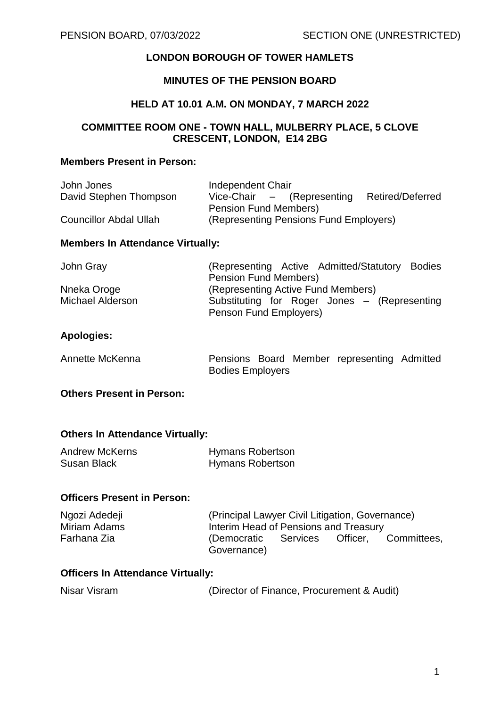# **LONDON BOROUGH OF TOWER HAMLETS**

# **MINUTES OF THE PENSION BOARD**

### **HELD AT 10.01 A.M. ON MONDAY, 7 MARCH 2022**

# **COMMITTEE ROOM ONE - TOWN HALL, MULBERRY PLACE, 5 CLOVE CRESCENT, LONDON, E14 2BG**

# **Members Present in Person:**

| John Jones                    | Independent Chair                      |                              |                         |
|-------------------------------|----------------------------------------|------------------------------|-------------------------|
| David Stephen Thompson        |                                        | Vice-Chair $-$ (Representing | <b>Retired/Deferred</b> |
|                               | Pension Fund Members)                  |                              |                         |
| <b>Councillor Abdal Ullah</b> | (Representing Pensions Fund Employers) |                              |                         |

#### **Members In Attendance Virtually:**

| John Gray        |                                    | (Representing Active Admitted/Statutory Bodies |  |
|------------------|------------------------------------|------------------------------------------------|--|
|                  | <b>Pension Fund Members)</b>       |                                                |  |
| Nneka Oroge      | (Representing Active Fund Members) |                                                |  |
| Michael Alderson | Penson Fund Employers)             | Substituting for Roger Jones – (Representing   |  |

# **Apologies:**

| Annette McKenna |                         |  | Pensions Board Member representing Admitted |  |
|-----------------|-------------------------|--|---------------------------------------------|--|
|                 | <b>Bodies Employers</b> |  |                                             |  |

# **Others Present in Person:**

### **Others In Attendance Virtually:**

| <b>Andrew McKerns</b> | <b>Hymans Robertson</b> |
|-----------------------|-------------------------|
| <b>Susan Black</b>    | Hymans Robertson        |

# **Officers Present in Person:**

| Ngozi Adedeji | (Principal Lawyer Civil Litigation, Governance) |                   |             |
|---------------|-------------------------------------------------|-------------------|-------------|
| Miriam Adams  | Interim Head of Pensions and Treasury           |                   |             |
| Farhana Zia   | (Democratic<br>Governance)                      | Services Officer, | Committees. |

#### **Officers In Attendance Virtually:**

| Nisar Visram | (Director of Finance, Procurement & Audit) |
|--------------|--------------------------------------------|
|--------------|--------------------------------------------|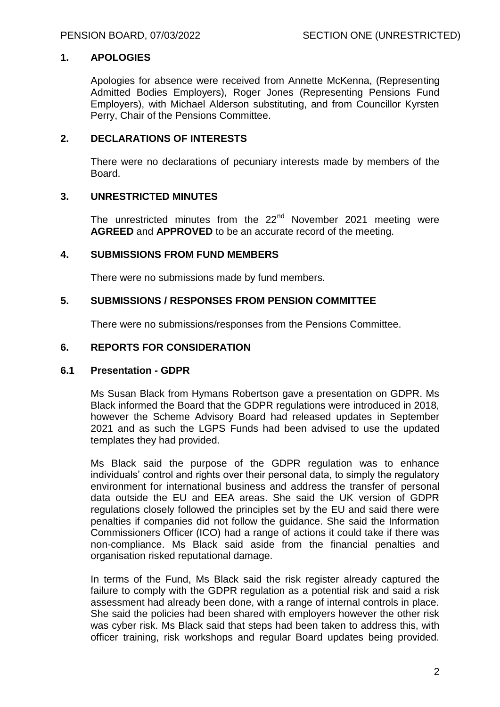# **1. APOLOGIES**

Apologies for absence were received from Annette McKenna, (Representing Admitted Bodies Employers), Roger Jones (Representing Pensions Fund Employers), with Michael Alderson substituting, and from Councillor Kyrsten Perry, Chair of the Pensions Committee.

## **2. DECLARATIONS OF INTERESTS**

There were no declarations of pecuniary interests made by members of the Board.

# **3. UNRESTRICTED MINUTES**

The unrestricted minutes from the  $22<sup>nd</sup>$  November 2021 meeting were **AGREED** and **APPROVED** to be an accurate record of the meeting.

## **4. SUBMISSIONS FROM FUND MEMBERS**

There were no submissions made by fund members.

# **5. SUBMISSIONS / RESPONSES FROM PENSION COMMITTEE**

There were no submissions/responses from the Pensions Committee.

## **6. REPORTS FOR CONSIDERATION**

### **6.1 Presentation - GDPR**

Ms Susan Black from Hymans Robertson gave a presentation on GDPR. Ms Black informed the Board that the GDPR regulations were introduced in 2018, however the Scheme Advisory Board had released updates in September 2021 and as such the LGPS Funds had been advised to use the updated templates they had provided.

Ms Black said the purpose of the GDPR regulation was to enhance individuals' control and rights over their personal data, to simply the regulatory environment for international business and address the transfer of personal data outside the EU and EEA areas. She said the UK version of GDPR regulations closely followed the principles set by the EU and said there were penalties if companies did not follow the guidance. She said the Information Commissioners Officer (ICO) had a range of actions it could take if there was non-compliance. Ms Black said aside from the financial penalties and organisation risked reputational damage.

In terms of the Fund, Ms Black said the risk register already captured the failure to comply with the GDPR regulation as a potential risk and said a risk assessment had already been done, with a range of internal controls in place. She said the policies had been shared with employers however the other risk was cyber risk. Ms Black said that steps had been taken to address this, with officer training, risk workshops and regular Board updates being provided.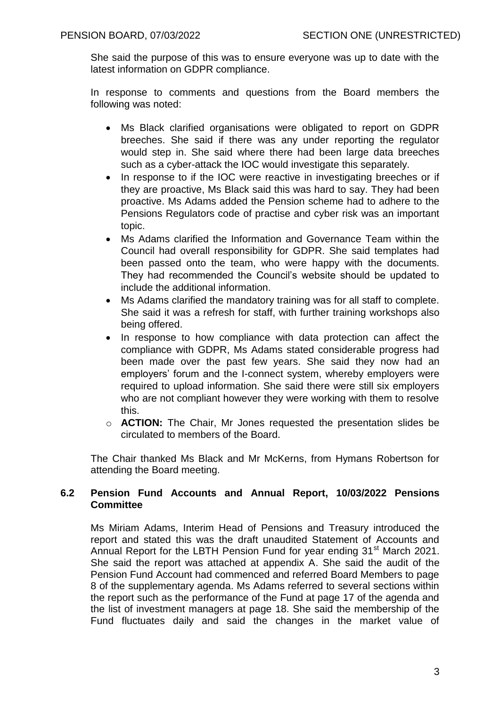She said the purpose of this was to ensure everyone was up to date with the latest information on GDPR compliance.

In response to comments and questions from the Board members the following was noted:

- Ms Black clarified organisations were obligated to report on GDPR breeches. She said if there was any under reporting the regulator would step in. She said where there had been large data breeches such as a cyber-attack the IOC would investigate this separately.
- In response to if the IOC were reactive in investigating breeches or if they are proactive, Ms Black said this was hard to say. They had been proactive. Ms Adams added the Pension scheme had to adhere to the Pensions Regulators code of practise and cyber risk was an important topic.
- Ms Adams clarified the Information and Governance Team within the Council had overall responsibility for GDPR. She said templates had been passed onto the team, who were happy with the documents. They had recommended the Council's website should be updated to include the additional information.
- Ms Adams clarified the mandatory training was for all staff to complete. She said it was a refresh for staff, with further training workshops also being offered.
- In response to how compliance with data protection can affect the compliance with GDPR, Ms Adams stated considerable progress had been made over the past few years. She said they now had an employers' forum and the I-connect system, whereby employers were required to upload information. She said there were still six employers who are not compliant however they were working with them to resolve this.
- o **ACTION:** The Chair, Mr Jones requested the presentation slides be circulated to members of the Board.

The Chair thanked Ms Black and Mr McKerns, from Hymans Robertson for attending the Board meeting.

# **6.2 Pension Fund Accounts and Annual Report, 10/03/2022 Pensions Committee**

Ms Miriam Adams, Interim Head of Pensions and Treasury introduced the report and stated this was the draft unaudited Statement of Accounts and Annual Report for the LBTH Pension Fund for year ending 31<sup>st</sup> March 2021. She said the report was attached at appendix A. She said the audit of the Pension Fund Account had commenced and referred Board Members to page 8 of the supplementary agenda. Ms Adams referred to several sections within the report such as the performance of the Fund at page 17 of the agenda and the list of investment managers at page 18. She said the membership of the Fund fluctuates daily and said the changes in the market value of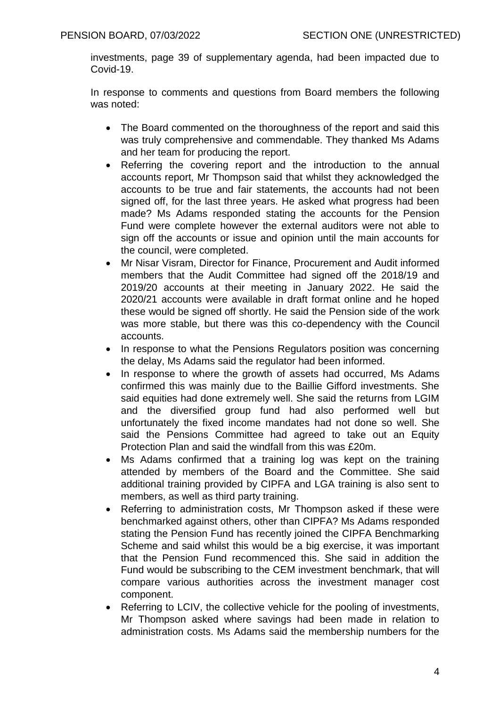investments, page 39 of supplementary agenda, had been impacted due to Covid-19.

In response to comments and questions from Board members the following was noted:

- The Board commented on the thoroughness of the report and said this was truly comprehensive and commendable. They thanked Ms Adams and her team for producing the report.
- Referring the covering report and the introduction to the annual accounts report, Mr Thompson said that whilst they acknowledged the accounts to be true and fair statements, the accounts had not been signed off, for the last three years. He asked what progress had been made? Ms Adams responded stating the accounts for the Pension Fund were complete however the external auditors were not able to sign off the accounts or issue and opinion until the main accounts for the council, were completed.
- Mr Nisar Visram, Director for Finance, Procurement and Audit informed members that the Audit Committee had signed off the 2018/19 and 2019/20 accounts at their meeting in January 2022. He said the 2020/21 accounts were available in draft format online and he hoped these would be signed off shortly. He said the Pension side of the work was more stable, but there was this co-dependency with the Council accounts.
- In response to what the Pensions Regulators position was concerning the delay, Ms Adams said the regulator had been informed.
- In response to where the growth of assets had occurred. Ms Adams confirmed this was mainly due to the Baillie Gifford investments. She said equities had done extremely well. She said the returns from LGIM and the diversified group fund had also performed well but unfortunately the fixed income mandates had not done so well. She said the Pensions Committee had agreed to take out an Equity Protection Plan and said the windfall from this was £20m.
- Ms Adams confirmed that a training log was kept on the training attended by members of the Board and the Committee. She said additional training provided by CIPFA and LGA training is also sent to members, as well as third party training.
- Referring to administration costs, Mr Thompson asked if these were benchmarked against others, other than CIPFA? Ms Adams responded stating the Pension Fund has recently joined the CIPFA Benchmarking Scheme and said whilst this would be a big exercise, it was important that the Pension Fund recommenced this. She said in addition the Fund would be subscribing to the CEM investment benchmark, that will compare various authorities across the investment manager cost component.
- Referring to LCIV, the collective vehicle for the pooling of investments, Mr Thompson asked where savings had been made in relation to administration costs. Ms Adams said the membership numbers for the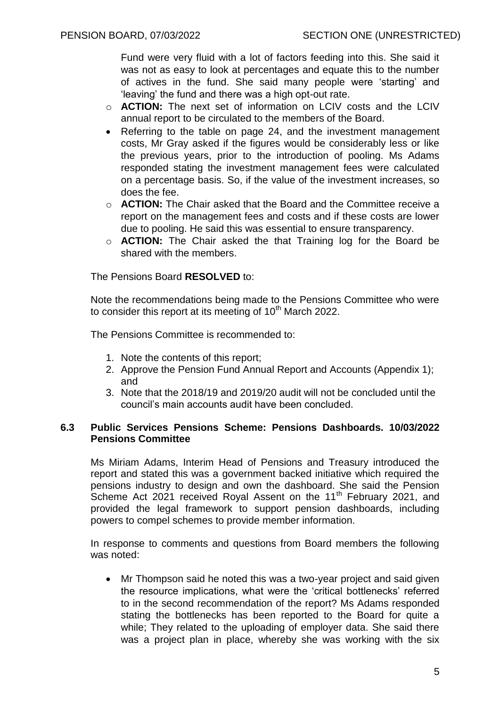Fund were very fluid with a lot of factors feeding into this. She said it was not as easy to look at percentages and equate this to the number of actives in the fund. She said many people were 'starting' and 'leaving' the fund and there was a high opt-out rate.

- o **ACTION:** The next set of information on LCIV costs and the LCIV annual report to be circulated to the members of the Board.
- Referring to the table on page 24, and the investment management costs, Mr Gray asked if the figures would be considerably less or like the previous years, prior to the introduction of pooling. Ms Adams responded stating the investment management fees were calculated on a percentage basis. So, if the value of the investment increases, so does the fee.
- o **ACTION:** The Chair asked that the Board and the Committee receive a report on the management fees and costs and if these costs are lower due to pooling. He said this was essential to ensure transparency.
- o **ACTION:** The Chair asked the that Training log for the Board be shared with the members.

The Pensions Board **RESOLVED** to:

Note the recommendations being made to the Pensions Committee who were to consider this report at its meeting of  $10<sup>th</sup>$  March 2022.

The Pensions Committee is recommended to:

- 1. Note the contents of this report;
- 2. Approve the Pension Fund Annual Report and Accounts (Appendix 1); and
- 3. Note that the 2018/19 and 2019/20 audit will not be concluded until the council's main accounts audit have been concluded.

## **6.3 Public Services Pensions Scheme: Pensions Dashboards. 10/03/2022 Pensions Committee**

Ms Miriam Adams, Interim Head of Pensions and Treasury introduced the report and stated this was a government backed initiative which required the pensions industry to design and own the dashboard. She said the Pension Scheme Act 2021 received Royal Assent on the 11<sup>th</sup> February 2021, and provided the legal framework to support pension dashboards, including powers to compel schemes to provide member information.

In response to comments and questions from Board members the following was noted:

• Mr Thompson said he noted this was a two-year project and said given the resource implications, what were the 'critical bottlenecks' referred to in the second recommendation of the report? Ms Adams responded stating the bottlenecks has been reported to the Board for quite a while; They related to the uploading of employer data. She said there was a project plan in place, whereby she was working with the six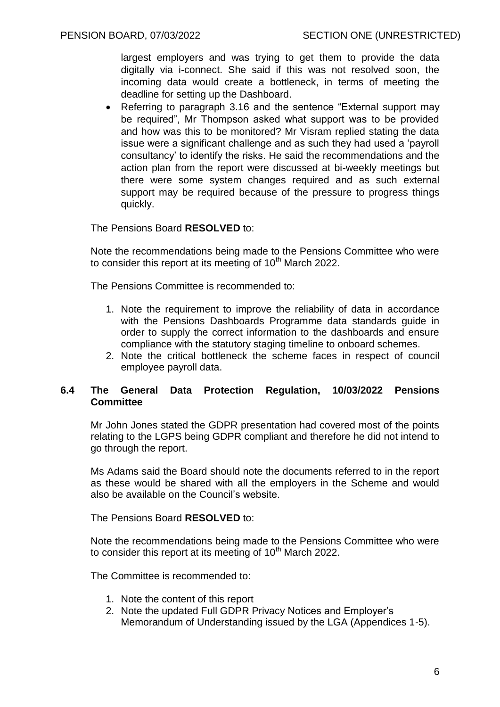largest employers and was trying to get them to provide the data digitally via i-connect. She said if this was not resolved soon, the incoming data would create a bottleneck, in terms of meeting the deadline for setting up the Dashboard.

• Referring to paragraph 3.16 and the sentence "External support may be required", Mr Thompson asked what support was to be provided and how was this to be monitored? Mr Visram replied stating the data issue were a significant challenge and as such they had used a 'payroll consultancy' to identify the risks. He said the recommendations and the action plan from the report were discussed at bi-weekly meetings but there were some system changes required and as such external support may be required because of the pressure to progress things quickly.

The Pensions Board **RESOLVED** to:

Note the recommendations being made to the Pensions Committee who were to consider this report at its meeting of  $10<sup>th</sup>$  March 2022.

The Pensions Committee is recommended to:

- 1. Note the requirement to improve the reliability of data in accordance with the Pensions Dashboards Programme data standards guide in order to supply the correct information to the dashboards and ensure compliance with the statutory staging timeline to onboard schemes.
- 2. Note the critical bottleneck the scheme faces in respect of council employee payroll data.

# **6.4 The General Data Protection Regulation, 10/03/2022 Pensions Committee**

Mr John Jones stated the GDPR presentation had covered most of the points relating to the LGPS being GDPR compliant and therefore he did not intend to go through the report.

Ms Adams said the Board should note the documents referred to in the report as these would be shared with all the employers in the Scheme and would also be available on the Council's website.

The Pensions Board **RESOLVED** to:

Note the recommendations being made to the Pensions Committee who were to consider this report at its meeting of  $10<sup>th</sup>$  March 2022.

The Committee is recommended to:

- 1. Note the content of this report
- 2. Note the updated Full GDPR Privacy Notices and Employer's Memorandum of Understanding issued by the LGA (Appendices 1-5).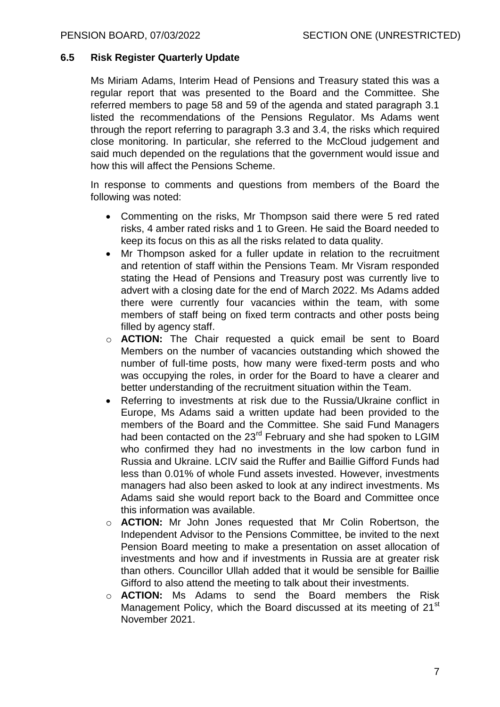## **6.5 Risk Register Quarterly Update**

Ms Miriam Adams, Interim Head of Pensions and Treasury stated this was a regular report that was presented to the Board and the Committee. She referred members to page 58 and 59 of the agenda and stated paragraph 3.1 listed the recommendations of the Pensions Regulator. Ms Adams went through the report referring to paragraph 3.3 and 3.4, the risks which required close monitoring. In particular, she referred to the McCloud judgement and said much depended on the regulations that the government would issue and how this will affect the Pensions Scheme.

In response to comments and questions from members of the Board the following was noted:

- Commenting on the risks, Mr Thompson said there were 5 red rated risks, 4 amber rated risks and 1 to Green. He said the Board needed to keep its focus on this as all the risks related to data quality.
- Mr Thompson asked for a fuller update in relation to the recruitment and retention of staff within the Pensions Team. Mr Visram responded stating the Head of Pensions and Treasury post was currently live to advert with a closing date for the end of March 2022. Ms Adams added there were currently four vacancies within the team, with some members of staff being on fixed term contracts and other posts being filled by agency staff.
- o **ACTION:** The Chair requested a quick email be sent to Board Members on the number of vacancies outstanding which showed the number of full-time posts, how many were fixed-term posts and who was occupying the roles, in order for the Board to have a clearer and better understanding of the recruitment situation within the Team.
- Referring to investments at risk due to the Russia/Ukraine conflict in Europe, Ms Adams said a written update had been provided to the members of the Board and the Committee. She said Fund Managers had been contacted on the 23<sup>rd</sup> February and she had spoken to LGIM who confirmed they had no investments in the low carbon fund in Russia and Ukraine. LCIV said the Ruffer and Baillie Gifford Funds had less than 0.01% of whole Fund assets invested. However, investments managers had also been asked to look at any indirect investments. Ms Adams said she would report back to the Board and Committee once this information was available.
- o **ACTION:** Mr John Jones requested that Mr Colin Robertson, the Independent Advisor to the Pensions Committee, be invited to the next Pension Board meeting to make a presentation on asset allocation of investments and how and if investments in Russia are at greater risk than others. Councillor Ullah added that it would be sensible for Baillie Gifford to also attend the meeting to talk about their investments.
- o **ACTION:** Ms Adams to send the Board members the Risk Management Policy, which the Board discussed at its meeting of 21<sup>st</sup> November 2021.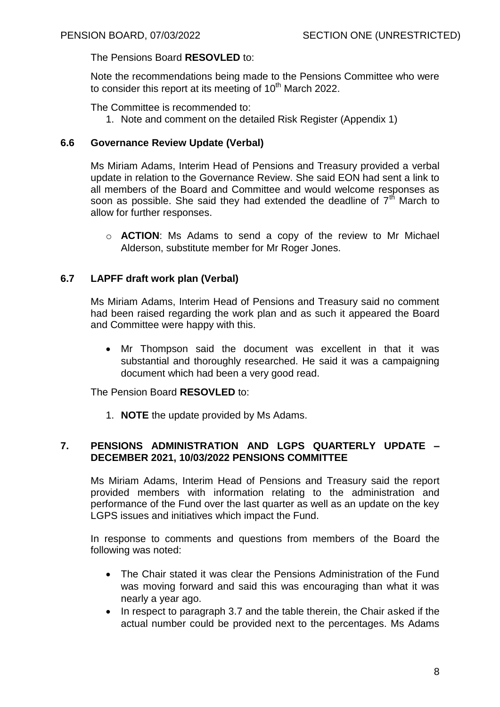The Pensions Board **RESOVLED** to:

Note the recommendations being made to the Pensions Committee who were to consider this report at its meeting of  $10<sup>th</sup>$  March 2022.

The Committee is recommended to:

1. Note and comment on the detailed Risk Register (Appendix 1)

## **6.6 Governance Review Update (Verbal)**

Ms Miriam Adams, Interim Head of Pensions and Treasury provided a verbal update in relation to the Governance Review. She said EON had sent a link to all members of the Board and Committee and would welcome responses as soon as possible. She said they had extended the deadline of  $7<sup>th</sup>$  March to allow for further responses.

o **ACTION**: Ms Adams to send a copy of the review to Mr Michael Alderson, substitute member for Mr Roger Jones.

# **6.7 LAPFF draft work plan (Verbal)**

Ms Miriam Adams, Interim Head of Pensions and Treasury said no comment had been raised regarding the work plan and as such it appeared the Board and Committee were happy with this.

 Mr Thompson said the document was excellent in that it was substantial and thoroughly researched. He said it was a campaigning document which had been a very good read.

The Pension Board **RESOVLED** to:

1. **NOTE** the update provided by Ms Adams.

# **7. PENSIONS ADMINISTRATION AND LGPS QUARTERLY UPDATE – DECEMBER 2021, 10/03/2022 PENSIONS COMMITTEE**

Ms Miriam Adams, Interim Head of Pensions and Treasury said the report provided members with information relating to the administration and performance of the Fund over the last quarter as well as an update on the key LGPS issues and initiatives which impact the Fund.

In response to comments and questions from members of the Board the following was noted:

- The Chair stated it was clear the Pensions Administration of the Fund was moving forward and said this was encouraging than what it was nearly a year ago.
- In respect to paragraph 3.7 and the table therein, the Chair asked if the actual number could be provided next to the percentages. Ms Adams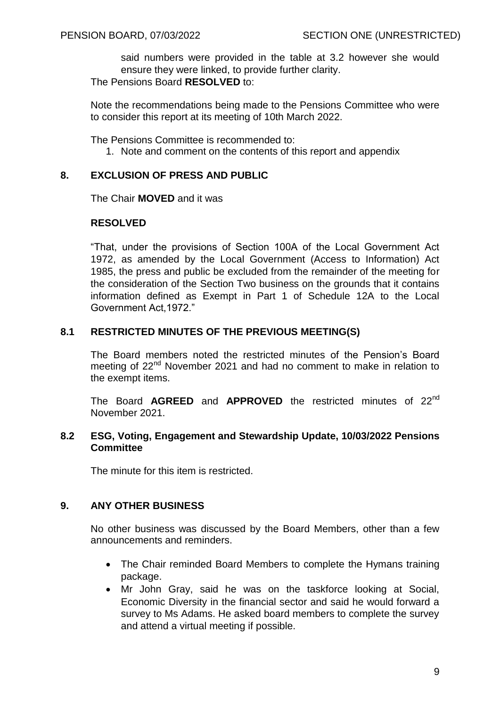said numbers were provided in the table at 3.2 however she would ensure they were linked, to provide further clarity.

The Pensions Board **RESOLVED** to:

Note the recommendations being made to the Pensions Committee who were to consider this report at its meeting of 10th March 2022.

The Pensions Committee is recommended to:

1. Note and comment on the contents of this report and appendix

# **8. EXCLUSION OF PRESS AND PUBLIC**

The Chair **MOVED** and it was

# **RESOLVED**

"That, under the provisions of Section 100A of the Local Government Act 1972, as amended by the Local Government (Access to Information) Act 1985, the press and public be excluded from the remainder of the meeting for the consideration of the Section Two business on the grounds that it contains information defined as Exempt in Part 1 of Schedule 12A to the Local Government Act,1972."

# **8.1 RESTRICTED MINUTES OF THE PREVIOUS MEETING(S)**

The Board members noted the restricted minutes of the Pension's Board meeting of 22<sup>nd</sup> November 2021 and had no comment to make in relation to the exempt items.

The Board **AGREED** and **APPROVED** the restricted minutes of 22nd November 2021.

# **8.2 ESG, Voting, Engagement and Stewardship Update, 10/03/2022 Pensions Committee**

The minute for this item is restricted.

# **9. ANY OTHER BUSINESS**

No other business was discussed by the Board Members, other than a few announcements and reminders.

- The Chair reminded Board Members to complete the Hymans training package.
- Mr John Gray, said he was on the taskforce looking at Social, Economic Diversity in the financial sector and said he would forward a survey to Ms Adams. He asked board members to complete the survey and attend a virtual meeting if possible.